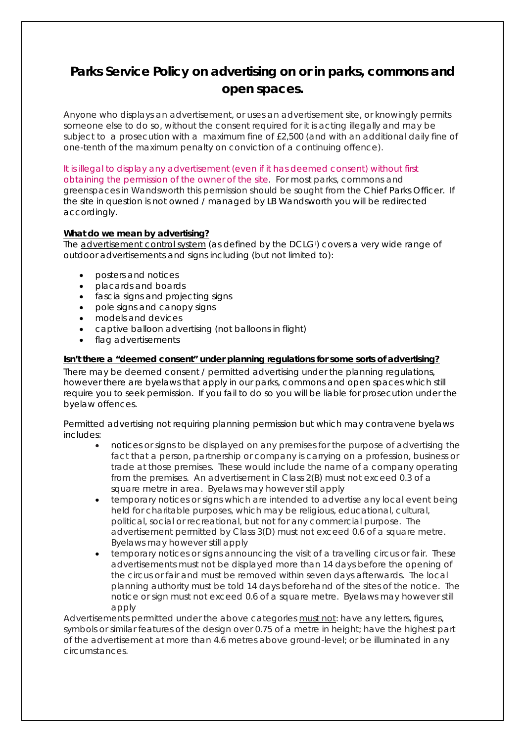# **Parks Service Policy on advertising on or in parks, commons and open spaces.**

Anyone who displays an advertisement, or uses an advertisement site, or knowingly permits someone else to do so, without the consent required for it is acting illegally and may be subject to a prosecution with a maximum fine of £2,500 (and with an additional daily fine of one-tenth of the maximum penalty on conviction of a continuing offence).

It is illegal to display any advertisement (even if it has deemed consent) without first obtaining the permission of the owner of the site. For most parks, commons and greenspaces in Wandsworth this permission should be sought from the Chief Parks Officer. If the site in question is not owned / managed by LB Wandsworth you will be redirected accordingly.

# **What do we mean by advertising?**

The <u>advert[i](#page-1-0)sement control system</u> (as defined by the DCLG<sup>;</sup>) covers a very wide range of outdoor advertisements and signs including (but not limited to):

- posters and notices
- placards and boards
- fascia signs and projecting signs
- pole signs and canopy signs
- models and devices
- captive balloon advertising (not balloons in flight)
- flag advertisements

## **Isn't there a "deemed consent" under planning regulations for some sorts of advertising?**

There may be deemed consent / permitted advertising under the planning regulations, however there are byelaws that apply in our parks, commons and open spaces which still require you to seek permission. If you fail to do so you will be liable for prosecution under the byelaw offences.

*Permitted advertising not requiring planning permission but which may contravene byelaws includes*:

- notices or signs to be displayed on any premises for the purpose of advertising the fact that a person, partnership or company is carrying on a profession, business or trade at those premises. These would include the name of a company operating from the premises. An advertisement in Class 2(B) must not exceed 0.3 of a square metre in area. *Byelaws may however still apply*
- temporary notices or signs which are intended to advertise any local event being held for charitable purposes, which may be religious, educational, cultural, political, social or recreational, but *not for any commercial purpose*. The advertisement permitted by Class 3(D) must not exceed 0.6 of a square metre. *Byelaws may however still apply*
- temporary notices or signs announcing the visit of a travelling circus or fair. These advertisements must not be displayed more than 14 days before the opening of the circus or fair and must be removed within seven days afterwards. The local planning authority must be told 14 days beforehand of the sites of the notice. The notice or sign must not exceed 0.6 of a square metre. *Byelaws may however still apply*

Advertisements permitted under the above categories *must not*: have any letters, figures, symbols or similar features of the design over 0.75 of a metre in height; have the highest part of the advertisement at more than 4.6 metres above ground-level; or be illuminated in any circumstances.